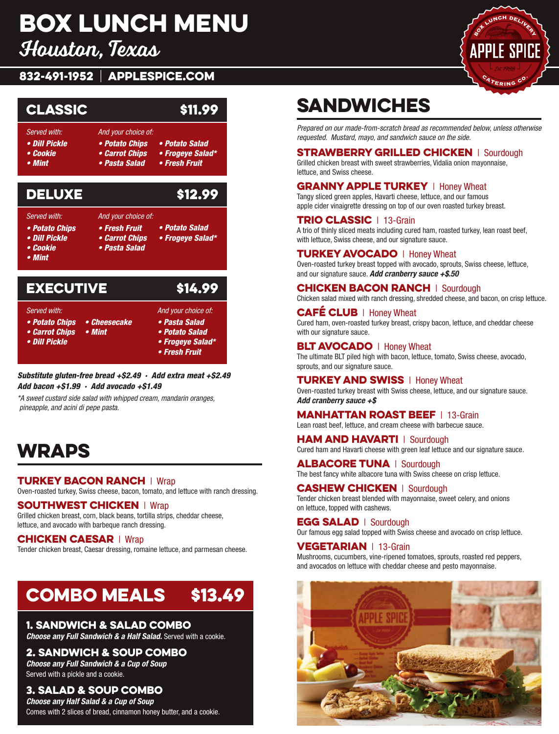# Box Lunch Menu

Houston, Texas

### 832-491-1952 | APPLESPICE.COM





*Substitute gluten-free bread +\$2.49 · Add extra meat +\$2.49 Add bacon +\$1.99 · Add avocado +\$1.49*

*\*A sweet custard side salad with whipped cream, mandarin oranges, pineapple, and acini di pepe pasta.*

## **WRAPS**

#### **TURKEY BACON RANCH | Wrap** Oven-roasted turkey, Swiss cheese, bacon, tomato, and lettuce with ranch dressing.

**SOUTHWEST CHICKEN** | Wrap

Grilled chicken breast, corn, black beans, tortilla strips, cheddar cheese, lettuce, and avocado with barbeque ranch dressing.

#### **CHICKEN CAESAR | Wrap**

Tender chicken breast, Caesar dressing, romaine lettuce, and parmesan cheese.

# COMBO MEALS \$13.49

#### 1. Sandwich & Salad Combo

*Choose any Full Sandwich & a Half Salad.* Served with a cookie.

#### 2. Sandwich & Soup Combo

*Choose any Full Sandwich & a Cup of Soup* Served with a pickle and a cookie.

#### 3. Salad & Soup Combo

*Choose any Half Salad & a Cup of Soup* Comes with 2 slices of bread, cinnamon honey butter, and a cookie.

# Sandwiches

*Prepared on our made-from-scratch bread as recommended below, unless otherwise requested. Mustard, mayo, and sandwich sauce on the side.*

#### **STRAWBERRY GRILLED CHICKEN** | Sourdough

Grilled chicken breast with sweet strawberries, Vidalia onion mayonnaise, lettuce, and Swiss cheese.

### **GRANNY APPLE TURKEY** | Honey Wheat

Tangy sliced green apples, Havarti cheese, lettuce, and our famous apple cider vinaigrette dressing on top of our oven roasted turkey breast.

#### TRIO CLASSIC | 13-Grain

A trio of thinly sliced meats including cured ham, roasted turkey, lean roast beef, with lettuce, Swiss cheese, and our signature sauce.

#### **TURKEY AVOCADO | Honey Wheat**

Oven-roasted turkey breast topped with avocado, sprouts, Swiss cheese, lettuce, and our signature sauce. *Add cranberry sauce +\$.50*

#### **CHICKEN BACON RANCH | Sourdough**

Chicken salad mixed with ranch dressing, shredded cheese, and bacon, on crisp lettuce.

#### **CAFÉ CLUB** | Honey Wheat Cured ham, oven-roasted turkey breast, crispy bacon, lettuce, and cheddar cheese with our signature sauce.

#### **BLT AVOCADO** | Honey Wheat

The ultimate BLT piled high with bacon, lettuce, tomato, Swiss cheese, avocado, sprouts, and our signature sauce.

**TURKEY AND SWISS | Honey Wheat** Oven-roasted turkey breast with Swiss cheese, lettuce, and our signature sauce. *Add cranberry sauce +\$*

#### **MANHATTAN ROAST BEEF | 13-Grain** Lean roast beef, lettuce, and cream cheese with barbecue sauce.

HAM AND HAVARTI | Sourdough Cured ham and Havarti cheese with green leaf lettuce and our signature sauce.

**ALBACORE TUNA | Sourdough** The best fancy white albacore tuna with Swiss cheese on crisp lettuce.

**CASHEW CHICKEN** | Sourdough Tender chicken breast blended with mayonnaise, sweet celery, and onions on lettuce, topped with cashews.

**EGG SALAD | Sourdough** Our famous egg salad topped with Swiss cheese and avocado on crisp lettuce.

#### VEGETARIAN | 13-Grain

Mushrooms, cucumbers, vine-ripened tomatoes, sprouts, roasted red peppers, and avocados on lettuce with cheddar cheese and pesto mayonnaise.